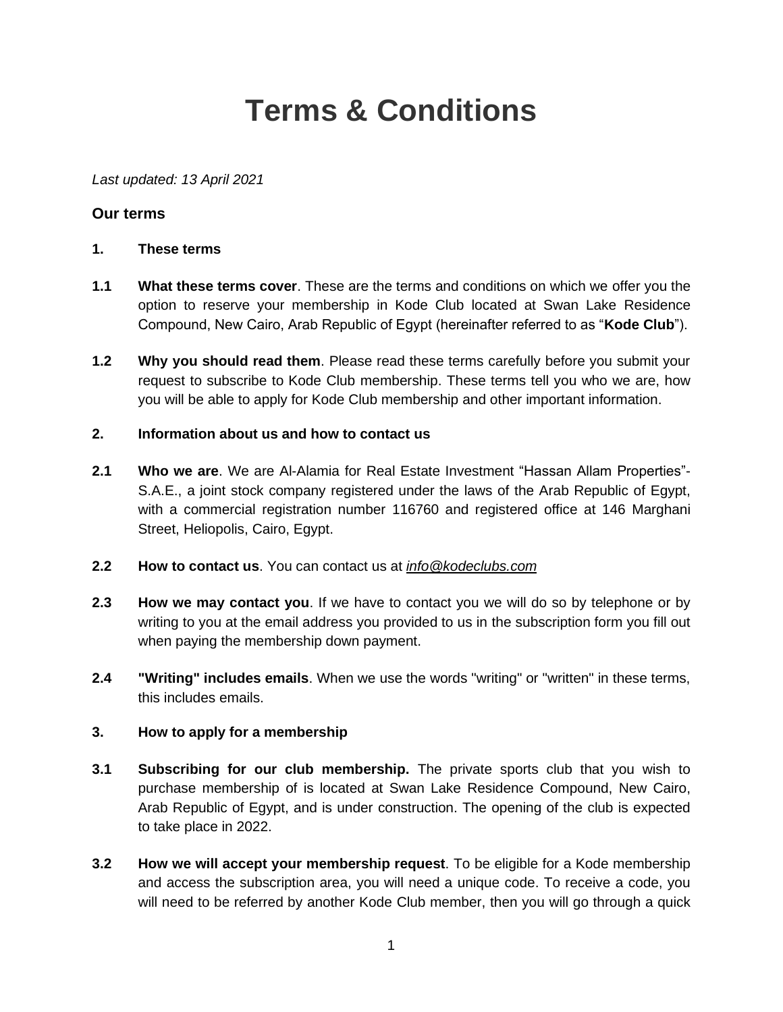# **Terms & Conditions**

*Last updated: 13 April 2021*

# **Our terms**

- **1. These terms**
- **1.1 What these terms cover**. These are the terms and conditions on which we offer you the option to reserve your membership in Kode Club located at Swan Lake Residence Compound, New Cairo, Arab Republic of Egypt (hereinafter referred to as "**Kode Club**").
- **1.2 Why you should read them**. Please read these terms carefully before you submit your request to subscribe to Kode Club membership. These terms tell you who we are, how you will be able to apply for Kode Club membership and other important information.
- **2. Information about us and how to contact us**
- **2.1 Who we are**. We are Al-Alamia for Real Estate Investment "Hassan Allam Properties"- S.A.E., a joint stock company registered under the laws of the Arab Republic of Egypt, with a commercial registration number 116760 and registered office at 146 Marghani Street, Heliopolis, Cairo, Egypt.
- **2.2 How to contact us**. You can contact us at *[info@kodeclubs.com](mailto:info@kodeclubs.com)*
- **2.3 How we may contact you**. If we have to contact you we will do so by telephone or by writing to you at the email address you provided to us in the subscription form you fill out when paying the membership down payment.
- **2.4 "Writing" includes emails**. When we use the words "writing" or "written" in these terms, this includes emails.

# **3. How to apply for a membership**

- **3.1 Subscribing for our club membership.** The private sports club that you wish to purchase membership of is located at Swan Lake Residence Compound, New Cairo, Arab Republic of Egypt, and is under construction. The opening of the club is expected to take place in 2022.
- **3.2 How we will accept your membership request**. To be eligible for a Kode membership and access the subscription area, you will need a unique code. To receive a code, you will need to be referred by another Kode Club member, then you will go through a quick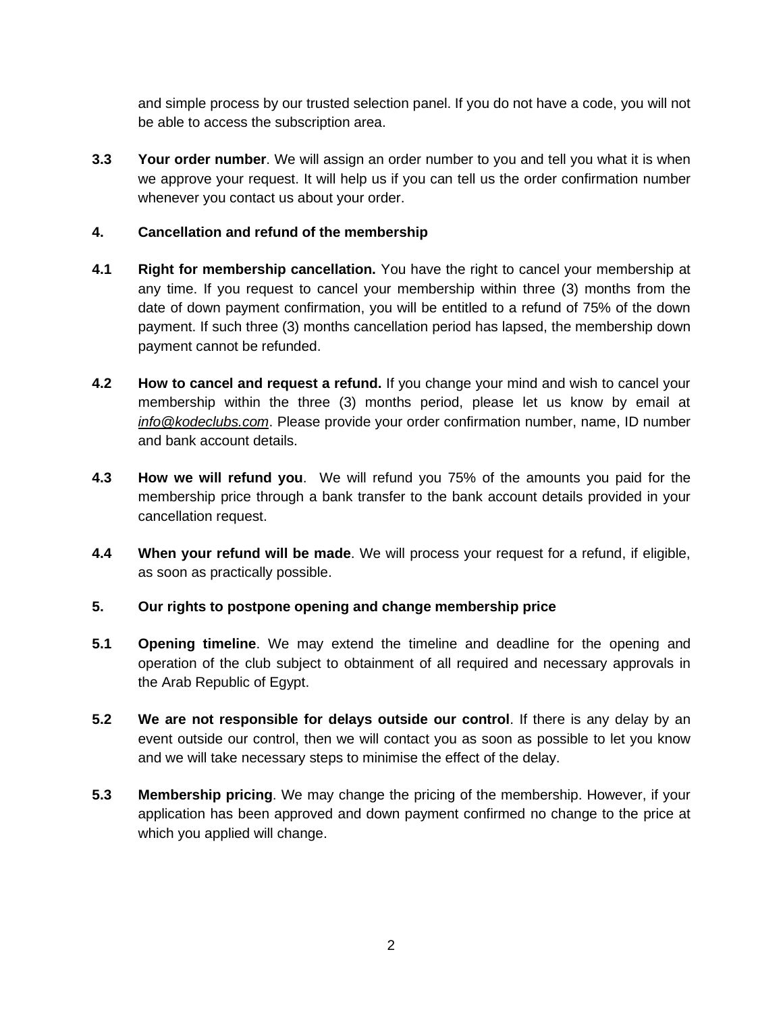and simple process by our trusted selection panel. If you do not have a code, you will not be able to access the subscription area.

**3.3 Your order number**. We will assign an order number to you and tell you what it is when we approve your request. It will help us if you can tell us the order confirmation number whenever you contact us about your order.

## **4. Cancellation and refund of the membership**

- **4.1 Right for membership cancellation.** You have the right to cancel your membership at any time. If you request to cancel your membership within three (3) months from the date of down payment confirmation, you will be entitled to a refund of 75% of the down payment. If such three (3) months cancellation period has lapsed, the membership down payment cannot be refunded.
- **4.2 How to cancel and request a refund.** If you change your mind and wish to cancel your membership within the three (3) months period, please let us know by email at *[info@kodeclubs.com](mailto:info@kodeclubs.com)*. Please provide your order confirmation number, name, ID number and bank account details.
- **4.3 How we will refund you**. We will refund you 75% of the amounts you paid for the membership price through a bank transfer to the bank account details provided in your cancellation request.
- **4.4 When your refund will be made**. We will process your request for a refund, if eligible, as soon as practically possible.
- **5. Our rights to postpone opening and change membership price**
- **5.1 Opening timeline**. We may extend the timeline and deadline for the opening and operation of the club subject to obtainment of all required and necessary approvals in the Arab Republic of Egypt.
- **5.2 We are not responsible for delays outside our control**. If there is any delay by an event outside our control, then we will contact you as soon as possible to let you know and we will take necessary steps to minimise the effect of the delay.
- **5.3 Membership pricing**. We may change the pricing of the membership. However, if your application has been approved and down payment confirmed no change to the price at which you applied will change.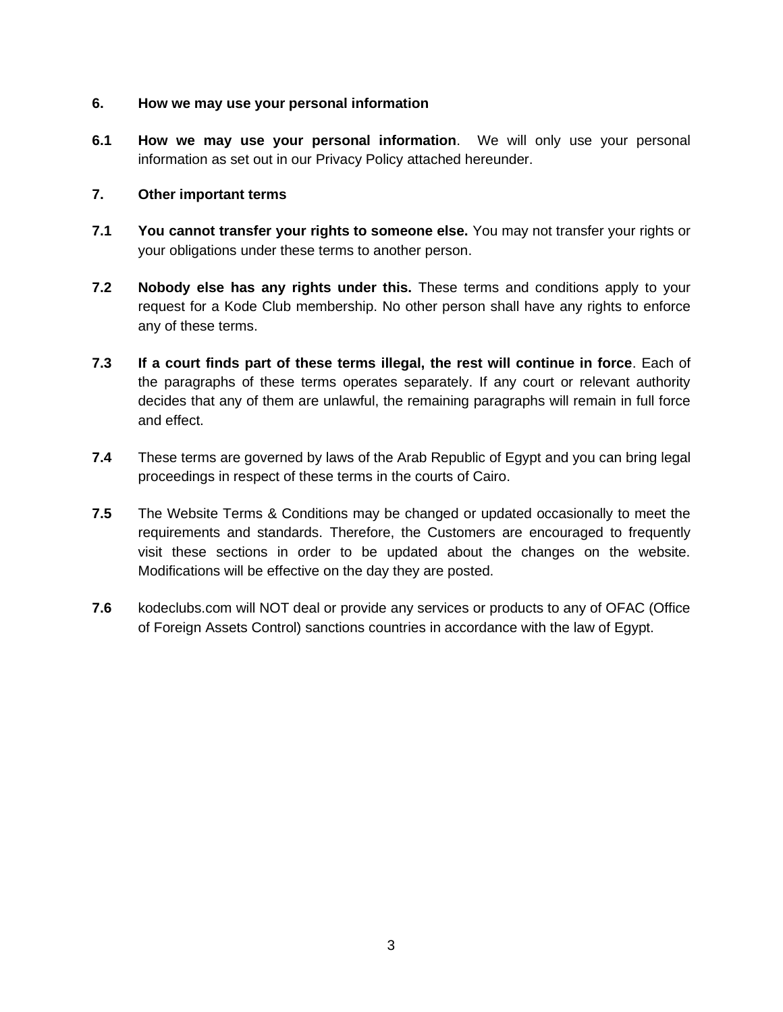#### **6. How we may use your personal information**

**6.1 How we may use your personal information**. We will only use your personal information as set out in our Privacy Policy attached hereunder.

#### **7. Other important terms**

- **7.1 You cannot transfer your rights to someone else.** You may not transfer your rights or your obligations under these terms to another person.
- **7.2 Nobody else has any rights under this.** These terms and conditions apply to your request for a Kode Club membership. No other person shall have any rights to enforce any of these terms.
- **7.3 If a court finds part of these terms illegal, the rest will continue in force**. Each of the paragraphs of these terms operates separately. If any court or relevant authority decides that any of them are unlawful, the remaining paragraphs will remain in full force and effect.
- **7.4** These terms are governed by laws of the Arab Republic of Egypt and you can bring legal proceedings in respect of these terms in the courts of Cairo.
- **7.5** The Website Terms & Conditions may be changed or updated occasionally to meet the requirements and standards. Therefore, the Customers are encouraged to frequently visit these sections in order to be updated about the changes on the website. Modifications will be effective on the day they are posted.
- **7.6** kodeclubs.com will NOT deal or provide any services or products to any of OFAC (Office of Foreign Assets Control) sanctions countries in accordance with the law of Egypt.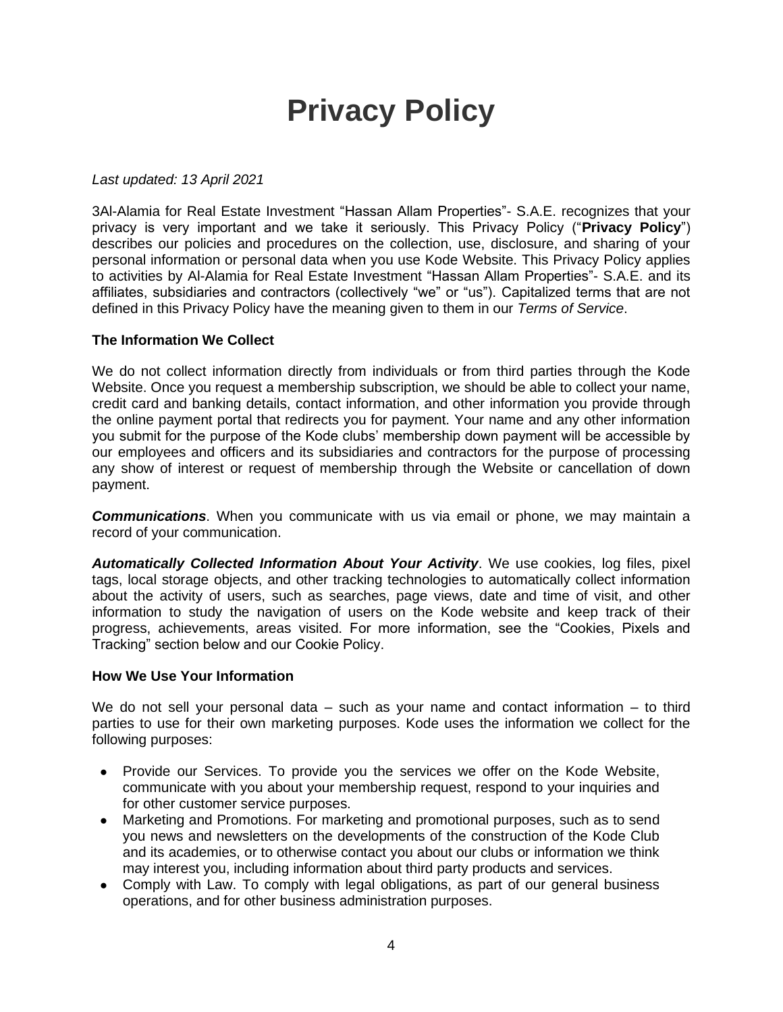# **Privacy Policy**

#### *Last updated: 13 April 2021*

3Al-Alamia for Real Estate Investment "Hassan Allam Properties"- S.A.E. recognizes that your privacy is very important and we take it seriously. This Privacy Policy ("**Privacy Policy**") describes our policies and procedures on the collection, use, disclosure, and sharing of your personal information or personal data when you use Kode Website. This Privacy Policy applies to activities by Al-Alamia for Real Estate Investment "Hassan Allam Properties"- S.A.E. and its affiliates, subsidiaries and contractors (collectively "we" or "us"). Capitalized terms that are not defined in this Privacy Policy have the meaning given to them in our *Terms of Service*.

#### **The Information We Collect**

We do not collect information directly from individuals or from third parties through the Kode Website. Once you request a membership subscription, we should be able to collect your name, credit card and banking details, contact information, and other information you provide through the online payment portal that redirects you for payment. Your name and any other information you submit for the purpose of the Kode clubs' membership down payment will be accessible by our employees and officers and its subsidiaries and contractors for the purpose of processing any show of interest or request of membership through the Website or cancellation of down payment.

*Communications*. When you communicate with us via email or phone, we may maintain a record of your communication.

*Automatically Collected Information About Your Activity*. We use cookies, log files, pixel tags, local storage objects, and other tracking technologies to automatically collect information about the activity of users, such as searches, page views, date and time of visit, and other information to study the navigation of users on the Kode website and keep track of their progress, achievements, areas visited. For more information, see the "Cookies, Pixels and Tracking" section below and our Cookie Policy.

#### **How We Use Your Information**

We do not sell your personal data - such as your name and contact information - to third parties to use for their own marketing purposes. Kode uses the information we collect for the following purposes:

- Provide our Services. To provide you the services we offer on the Kode Website, communicate with you about your membership request, respond to your inquiries and for other customer service purposes.
- Marketing and Promotions. For marketing and promotional purposes, such as to send you news and newsletters on the developments of the construction of the Kode Club and its academies, or to otherwise contact you about our clubs or information we think may interest you, including information about third party products and services.
- Comply with Law. To comply with legal obligations, as part of our general business operations, and for other business administration purposes.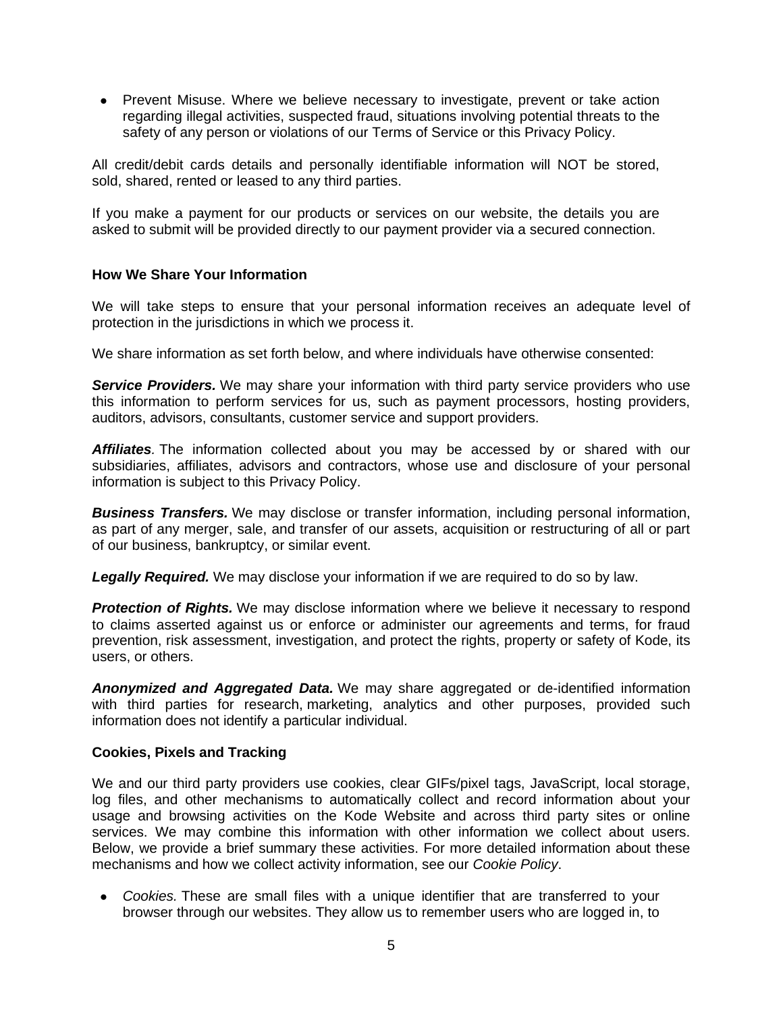● Prevent Misuse. Where we believe necessary to investigate, prevent or take action regarding illegal activities, suspected fraud, situations involving potential threats to the safety of any person or violations of our Terms of Service or this Privacy Policy.

All credit/debit cards details and personally identifiable information will NOT be stored, sold, shared, rented or leased to any third parties.

If you make a payment for our products or services on our website, the details you are asked to submit will be provided directly to our payment provider via a secured connection.

#### **How We Share Your Information**

We will take steps to ensure that your personal information receives an adequate level of protection in the jurisdictions in which we process it.

We share information as set forth below, and where individuals have otherwise consented:

**Service Providers.** We may share your information with third party service providers who use this information to perform services for us, such as payment processors, hosting providers, auditors, advisors, consultants, customer service and support providers.

*Affiliates.* The information collected about you may be accessed by or shared with our subsidiaries, affiliates, advisors and contractors, whose use and disclosure of your personal information is subject to this Privacy Policy.

*Business Transfers.* We may disclose or transfer information, including personal information, as part of any merger, sale, and transfer of our assets, acquisition or restructuring of all or part of our business, bankruptcy, or similar event.

**Legally Required.** We may disclose your information if we are required to do so by law.

**Protection of Rights.** We may disclose information where we believe it necessary to respond to claims asserted against us or enforce or administer our agreements and terms, for fraud prevention, risk assessment, investigation, and protect the rights, property or safety of Kode, its users, or others.

*Anonymized and Aggregated Data.* We may share aggregated or de-identified information with third parties for research, marketing, analytics and other purposes, provided such information does not identify a particular individual.

#### **Cookies, Pixels and Tracking**

We and our third party providers use cookies, clear GIFs/pixel tags, JavaScript, local storage, log files, and other mechanisms to automatically collect and record information about your usage and browsing activities on the Kode Website and across third party sites or online services. We may combine this information with other information we collect about users. Below, we provide a brief summary these activities. For more detailed information about these mechanisms and how we collect activity information, see our *Cookie Policy*.

● *Cookies.* These are small files with a unique identifier that are transferred to your browser through our websites. They allow us to remember users who are logged in, to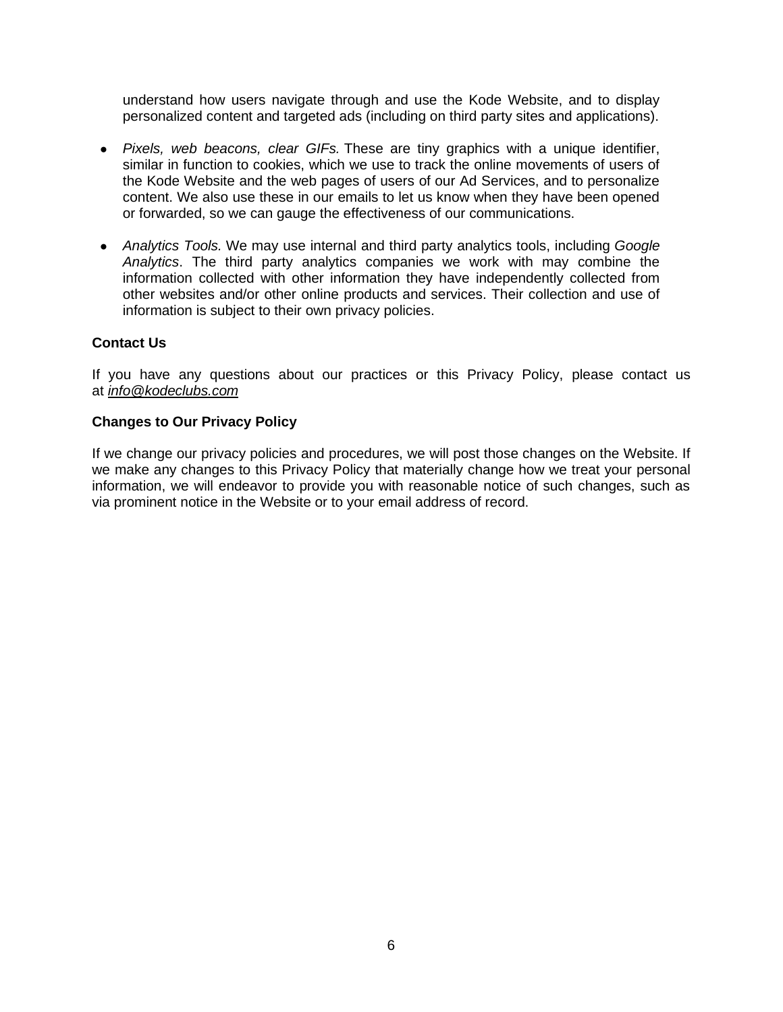understand how users navigate through and use the Kode Website, and to display personalized content and targeted ads (including on third party sites and applications).

- *Pixels, web beacons, clear GIFs.* These are tiny graphics with a unique identifier, similar in function to cookies, which we use to track the online movements of users of the Kode Website and the web pages of users of our Ad Services, and to personalize content. We also use these in our emails to let us know when they have been opened or forwarded, so we can gauge the effectiveness of our communications.
- *Analytics Tools.* We may use internal and third party analytics tools, including *Google Analytics*. The third party analytics companies we work with may combine the information collected with other information they have independently collected from other websites and/or other online products and services. Their collection and use of information is subject to their own privacy policies.

## **Contact Us**

If you have any questions about our practices or this Privacy Policy, please contact us at *[info@kodeclubs.com](mailto:info@kodeclubs.com)*

#### **Changes to Our Privacy Policy**

If we change our privacy policies and procedures, we will post those changes on the Website. If we make any changes to this Privacy Policy that materially change how we treat your personal information, we will endeavor to provide you with reasonable notice of such changes, such as via prominent notice in the Website or to your email address of record.